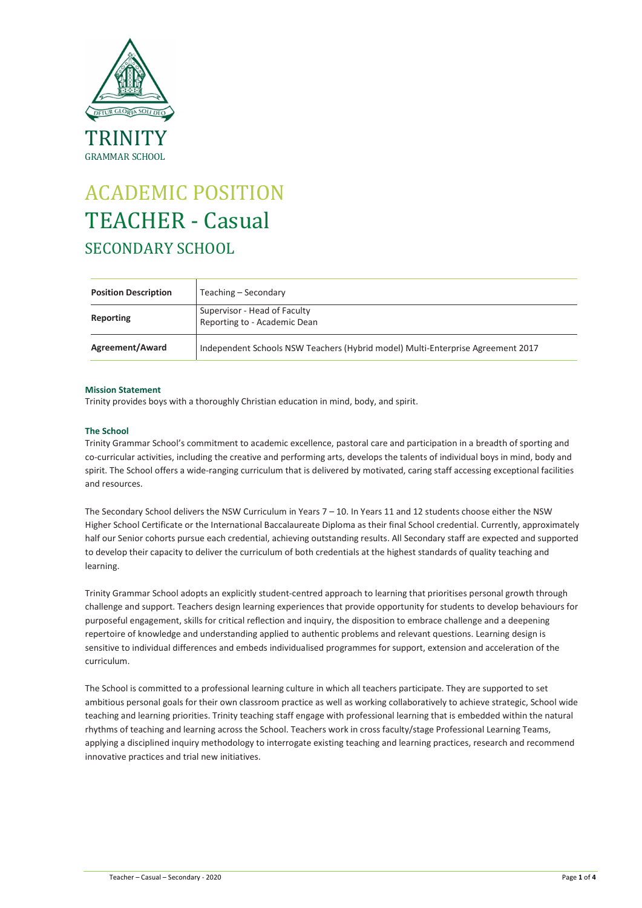

# ACADEMIC POSITION TEACHER - Casual SECONDARY SCHOOL

| <b>Position Description</b> | Teaching – Secondary                                                            |
|-----------------------------|---------------------------------------------------------------------------------|
| Reporting                   | Supervisor - Head of Faculty<br>Reporting to - Academic Dean                    |
| Agreement/Award             | Independent Schools NSW Teachers (Hybrid model) Multi-Enterprise Agreement 2017 |

# Mission Statement

Trinity provides boys with a thoroughly Christian education in mind, body, and spirit.

# The School

Trinity Grammar School's commitment to academic excellence, pastoral care and participation in a breadth of sporting and co-curricular activities, including the creative and performing arts, develops the talents of individual boys in mind, body and spirit. The School offers a wide-ranging curriculum that is delivered by motivated, caring staff accessing exceptional facilities and resources.

The Secondary School delivers the NSW Curriculum in Years 7 – 10. In Years 11 and 12 students choose either the NSW Higher School Certificate or the International Baccalaureate Diploma as their final School credential. Currently, approximately half our Senior cohorts pursue each credential, achieving outstanding results. All Secondary staff are expected and supported to develop their capacity to deliver the curriculum of both credentials at the highest standards of quality teaching and learning.

Trinity Grammar School adopts an explicitly student-centred approach to learning that prioritises personal growth through challenge and support. Teachers design learning experiences that provide opportunity for students to develop behaviours for purposeful engagement, skills for critical reflection and inquiry, the disposition to embrace challenge and a deepening repertoire of knowledge and understanding applied to authentic problems and relevant questions. Learning design is sensitive to individual differences and embeds individualised programmes for support, extension and acceleration of the curriculum.

The School is committed to a professional learning culture in which all teachers participate. They are supported to set ambitious personal goals for their own classroom practice as well as working collaboratively to achieve strategic, School wide teaching and learning priorities. Trinity teaching staff engage with professional learning that is embedded within the natural rhythms of teaching and learning across the School. Teachers work in cross faculty/stage Professional Learning Teams, applying a disciplined inquiry methodology to interrogate existing teaching and learning practices, research and recommend innovative practices and trial new initiatives.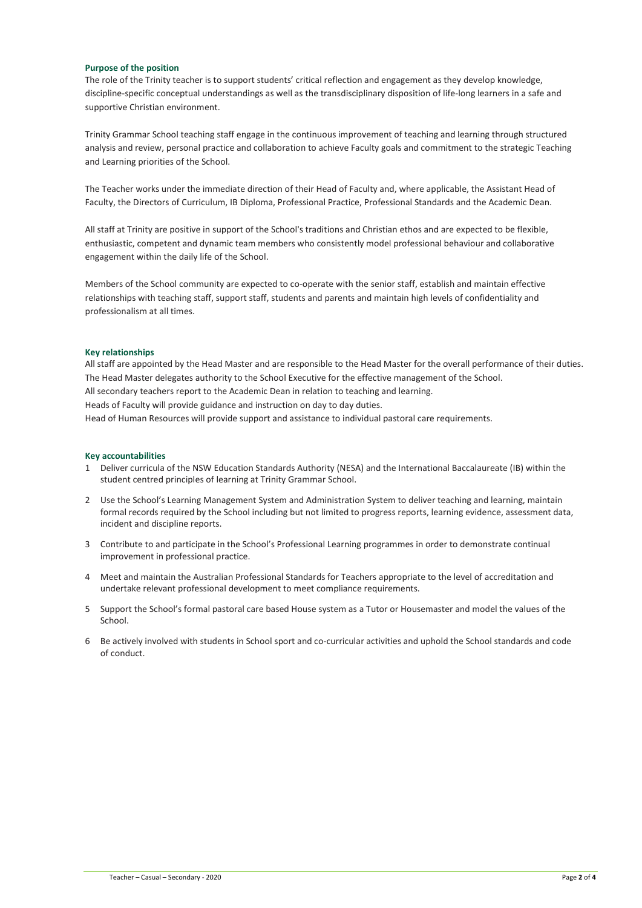# Purpose of the position

The role of the Trinity teacher is to support students' critical reflection and engagement as they develop knowledge, discipline-specific conceptual understandings as well as the transdisciplinary disposition of life-long learners in a safe and supportive Christian environment.

Trinity Grammar School teaching staff engage in the continuous improvement of teaching and learning through structured analysis and review, personal practice and collaboration to achieve Faculty goals and commitment to the strategic Teaching and Learning priorities of the School.

The Teacher works under the immediate direction of their Head of Faculty and, where applicable, the Assistant Head of Faculty, the Directors of Curriculum, IB Diploma, Professional Practice, Professional Standards and the Academic Dean.

All staff at Trinity are positive in support of the School's traditions and Christian ethos and are expected to be flexible, enthusiastic, competent and dynamic team members who consistently model professional behaviour and collaborative engagement within the daily life of the School.

Members of the School community are expected to co-operate with the senior staff, establish and maintain effective relationships with teaching staff, support staff, students and parents and maintain high levels of confidentiality and professionalism at all times.

## Key relationships

All staff are appointed by the Head Master and are responsible to the Head Master for the overall performance of their duties. The Head Master delegates authority to the School Executive for the effective management of the School. All secondary teachers report to the Academic Dean in relation to teaching and learning. Heads of Faculty will provide guidance and instruction on day to day duties.

Head of Human Resources will provide support and assistance to individual pastoral care requirements.

### Key accountabilities

- 1 Deliver curricula of the NSW Education Standards Authority (NESA) and the International Baccalaureate (IB) within the student centred principles of learning at Trinity Grammar School.
- 2 Use the School's Learning Management System and Administration System to deliver teaching and learning, maintain formal records required by the School including but not limited to progress reports, learning evidence, assessment data, incident and discipline reports.
- 3 Contribute to and participate in the School's Professional Learning programmes in order to demonstrate continual improvement in professional practice.
- 4 Meet and maintain the Australian Professional Standards for Teachers appropriate to the level of accreditation and undertake relevant professional development to meet compliance requirements.
- 5 Support the School's formal pastoral care based House system as a Tutor or Housemaster and model the values of the School.
- 6 Be actively involved with students in School sport and co-curricular activities and uphold the School standards and code of conduct.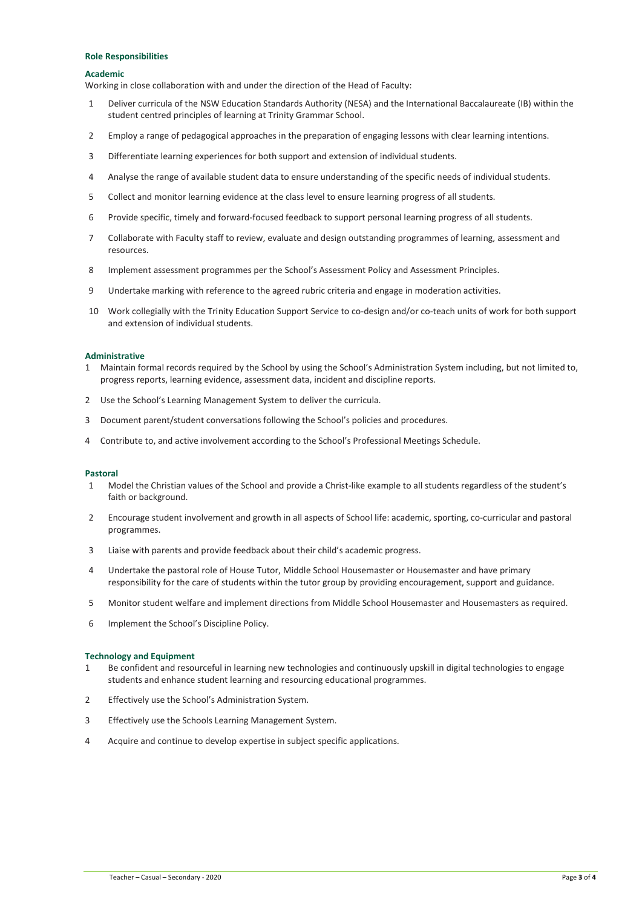## Role Responsibilities

#### Academic

Working in close collaboration with and under the direction of the Head of Faculty:

- 1 Deliver curricula of the NSW Education Standards Authority (NESA) and the International Baccalaureate (IB) within the student centred principles of learning at Trinity Grammar School.
- 2 Employ a range of pedagogical approaches in the preparation of engaging lessons with clear learning intentions.
- 3 Differentiate learning experiences for both support and extension of individual students.
- 4 Analyse the range of available student data to ensure understanding of the specific needs of individual students.
- 5 Collect and monitor learning evidence at the class level to ensure learning progress of all students.
- 6 Provide specific, timely and forward-focused feedback to support personal learning progress of all students.
- 7 Collaborate with Faculty staff to review, evaluate and design outstanding programmes of learning, assessment and resources.
- 8 Implement assessment programmes per the School's Assessment Policy and Assessment Principles.
- 9 Undertake marking with reference to the agreed rubric criteria and engage in moderation activities.
- 10 Work collegially with the Trinity Education Support Service to co-design and/or co-teach units of work for both support and extension of individual students.

## **Administrative**

- 1 Maintain formal records required by the School by using the School's Administration System including, but not limited to, progress reports, learning evidence, assessment data, incident and discipline reports.
- 2 Use the School's Learning Management System to deliver the curricula.
- 3 Document parent/student conversations following the School's policies and procedures.
- 4 Contribute to, and active involvement according to the School's Professional Meetings Schedule.

### Pastoral

- 1 Model the Christian values of the School and provide a Christ-like example to all students regardless of the student's faith or background.
- 2 Encourage student involvement and growth in all aspects of School life: academic, sporting, co-curricular and pastoral programmes.
- 3 Liaise with parents and provide feedback about their child's academic progress.
- 4 Undertake the pastoral role of House Tutor, Middle School Housemaster or Housemaster and have primary responsibility for the care of students within the tutor group by providing encouragement, support and guidance.
- 5 Monitor student welfare and implement directions from Middle School Housemaster and Housemasters as required.
- 6 Implement the School's Discipline Policy.

### Technology and Equipment

- 1 Be confident and resourceful in learning new technologies and continuously upskill in digital technologies to engage students and enhance student learning and resourcing educational programmes.
- 2 Effectively use the School's Administration System.
- 3 Effectively use the Schools Learning Management System.
- 4 Acquire and continue to develop expertise in subject specific applications.